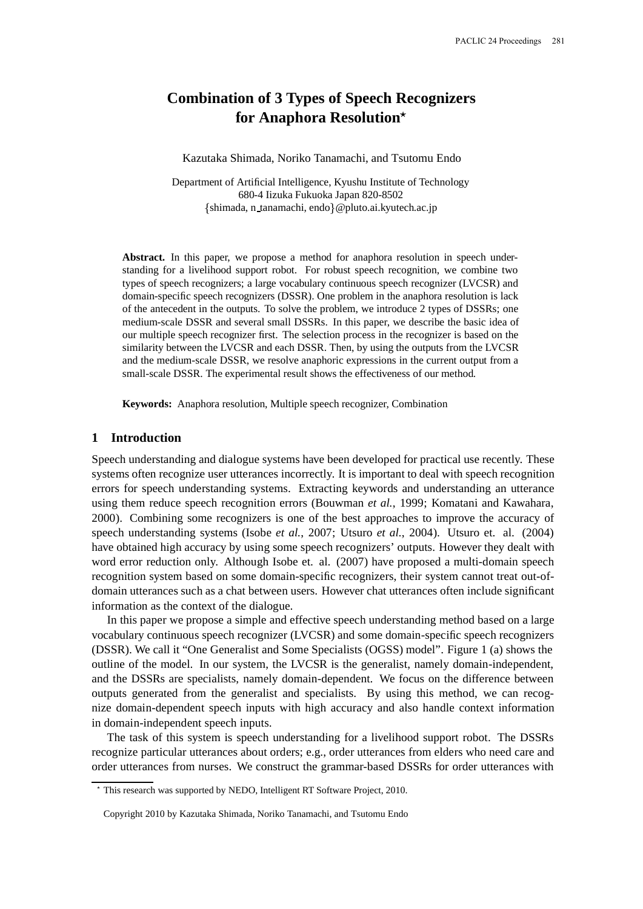# **Combination of 3 Types of Speech Recognizers for Anaphora Resolution**

Kazutaka Shimada, Noriko Tanamachi, and Tsutomu Endo

Department of Artificial Intelligence, Kyushu Institute of Technology 680-4 Iizuka Fukuoka Japan 820-8502 shimada, n tanamachi, endo-@pluto.ai.kyutech.ac.jp

**Abstract.** In this paper, we propose a method for anaphora resolution in speech understanding for a livelihood support robot. For robust speech recognition, we combine two types of speech recognizers; a large vocabulary continuous speech recognizer (LVCSR) and domain-specific speech recognizers (DSSR). One problem in the anaphora resolution is lack of the antecedent in the outputs. To solve the problem, we introduce 2 types of DSSRs; one medium-scale DSSR and several small DSSRs. In this paper, we describe the basic idea of our multiple speech recognizer first. The selection process in the recognizer is based on the similarity between the LVCSR and each DSSR. Then, by using the outputs from the LVCSR and the medium-scale DSSR, we resolve anaphoric expressions in the current output from a small-scale DSSR. The experimental result shows the effectiveness of our method.

**Keywords:** Anaphora resolution, Multiple speech recognizer, Combination

# **1 Introduction**

Speech understanding and dialogue systems have been developed for practical use recently. These systems often recognize user utterances incorrectly. It is important to deal with speech recognition errors for speech understanding systems. Extracting keywords and understanding an utterance using them reduce speech recognition errors (Bouwman *et al.*, 1999; Komatani and Kawahara, 2000). Combining some recognizers is one of the best approaches to improve the accuracy of speech understanding systems (Isobe *et al.*, 2007; Utsuro *et al.*, 2004). Utsuro et. al. (2004) have obtained high accuracy by using some speech recognizers' outputs. However they dealt with word error reduction only. Although Isobe et. al. (2007) have proposed a multi-domain speech recognition system based on some domain-specific recognizers, their system cannot treat out-ofdomain utterances such as a chat between users. However chat utterances often include significant information as the context of the dialogue.

In this paper we propose a simple and effective speech understanding method based on a large vocabulary continuous speech recognizer (LVCSR) and some domain-specific speech recognizers (DSSR). We call it "One Generalist and Some Specialists (OGSS) model". Figure 1 (a) shows the outline of the model. In our system, the LVCSR is the generalist, namely domain-independent, and the DSSRs are specialists, namely domain-dependent. We focus on the difference between outputs generated from the generalist and specialists. By using this method, we can recognize domain-dependent speech inputs with high accuracy and also handle context information in domain-independent speech inputs.

The task of this system is speech understanding for a livelihood support robot. The DSSRs recognize particular utterances about orders; e.g., order utterances from elders who need care and order utterances from nurses. We construct the grammar-based DSSRs for order utterances with

This research was supported by NEDO, Intelligent RT Software Project, 2010.

Copyright 2010 by Kazutaka Shimada, Noriko Tanamachi, and Tsutomu Endo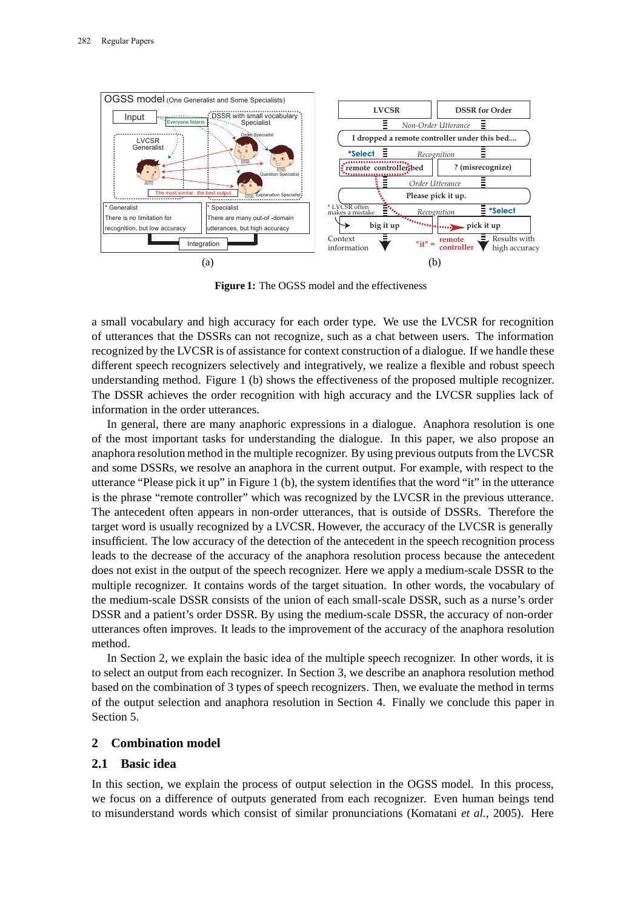

**Figure 1:** The OGSS model and the effectiveness

a small vocabulary and high accuracy for each order type. We use the LVCSR for recognition of utterances that the DSSRs can not recognize, such as a chat between users. The information recognized by the LVCSR is of assistance for context construction of a dialogue. If we handle these different speech recognizers selectively and integratively, we realize a flexible and robust speech understanding method. Figure 1 (b) shows the effectiveness of the proposed multiple recognizer. The DSSR achieves the order recognition with high accuracy and the LVCSR supplies lack of information in the order utterances.

In general, there are many anaphoric expressions in a dialogue. Anaphora resolution is one of the most important tasks for understanding the dialogue. In this paper, we also propose an anaphora resolution method in the multiple recognizer. By using previous outputs from the LVCSR and some DSSRs, we resolve an anaphora in the current output. For example, with respect to the utterance "Please pick it up" in Figure 1 (b), the system identifies that the word "it" in the utterance is the phrase "remote controller" which was recognized by the LVCSR in the previous utterance. The antecedent often appears in non-order utterances, that is outside of DSSRs. Therefore the target word is usually recognized by a LVCSR. However, the accuracy of the LVCSR is generally insufficient. The low accuracy of the detection of the antecedent in the speech recognition process leads to the decrease of the accuracy of the anaphora resolution process because the antecedent does not exist in the output of the speech recognizer. Here we apply a medium-scale DSSR to the multiple recognizer. It contains words of the target situation. In other words, the vocabulary of the medium-scale DSSR consists of the union of each small-scale DSSR, such as a nurse's order DSSR and a patient's order DSSR. By using the medium-scale DSSR, the accuracy of non-order utterances often improves. It leads to the improvement of the accuracy of the anaphora resolution method.

In Section 2, we explain the basic idea of the multiple speech recognizer. In other words, it is to select an output from each recognizer. In Section 3, we describe an anaphora resolution method based on the combination of 3 types of speech recognizers. Then, we evaluate the method in terms of the output selection and anaphora resolution in Section 4. Finally we conclude this paper in Section 5.

# **2 Combination model**

# **2.1 Basic idea**

In this section, we explain the process of output selection in the OGSS model. In this process, we focus on a difference of outputs generated from each recognizer. Even human beings tend to misunderstand words which consist of similar pronunciations (Komatani *et al.*, 2005). Here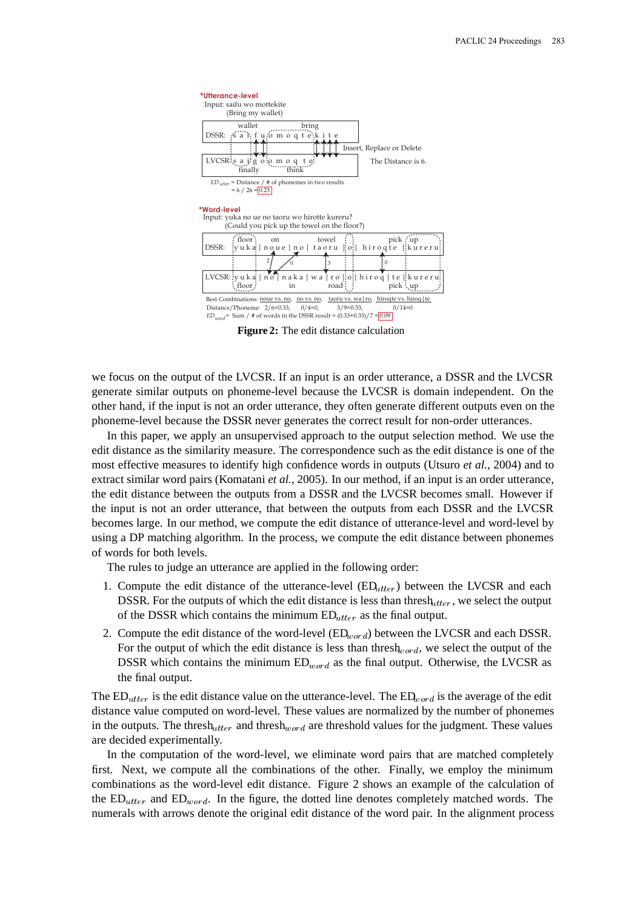

**Figure 2:** The edit distance calculation

we focus on the output of the LVCSR. If an input is an order utterance, a DSSR and the LVCSR generate similar outputs on phoneme-level because the LVCSR is domain independent. On the other hand, if the input is not an order utterance, they often generate different outputs even on the phoneme-level because the DSSR never generates the correct result for non-order utterances.

In this paper, we apply an unsupervised approach to the output selection method. We use the edit distance as the similarity measure. The correspondence such as the edit distance is one of the most effective measures to identify high confidence words in outputs (Utsuro *et al.*, 2004) and to extract similar word pairs (Komatani *et al.*, 2005). In our method, if an input is an order utterance, the edit distance between the outputs from a DSSR and the LVCSR becomes small. However if the input is not an order utterance, that between the outputs from each DSSR and the LVCSR becomes large. In our method, we compute the edit distance of utterance-level and word-level by using a DP matching algorithm. In the process, we compute the edit distance between phonemes of words for both levels.

The rules to judge an utterance are applied in the following order:

- 1. Compute the edit distance of the utterance-level  $(ED_{utter})$  between the LVCSR and each DSSR. For the outputs of which the edit distance is less than thresh $_{utter}$ , we select the output of the DSSR which contains the minimum  $ED_{utter}$  as the final output.
- 2. Compute the edit distance of the word-level  $(ED_{word})$  between the LVCSR and each DSSR. For the output of which the edit distance is less than thresh $_{word}$ , we select the output of the DSSR which contains the minimum  $ED_{word}$  as the final output. Otherwise, the LVCSR as the final output.

The  $ED_{utter}$  is the edit distance value on the utterance-level. The  $ED_{word}$  is the average of the edit distance value computed on word-level. These values are normalized by the number of phonemes in the outputs. The thresh $_{utter}$  and thresh $_{word}$  are threshold values for the judgment. These values are decided experimentally.

In the computation of the word-level, we eliminate word pairs that are matched completely first. Next, we compute all the combinations of the other. Finally, we employ the minimum combinations as the word-level edit distance. Figure 2 shows an example of the calculation of the  $ED_{utter}$  and  $ED_{word}$ . In the figure, the dotted line denotes completely matched words. The numerals with arrows denote the original edit distance of the word pair. In the alignment process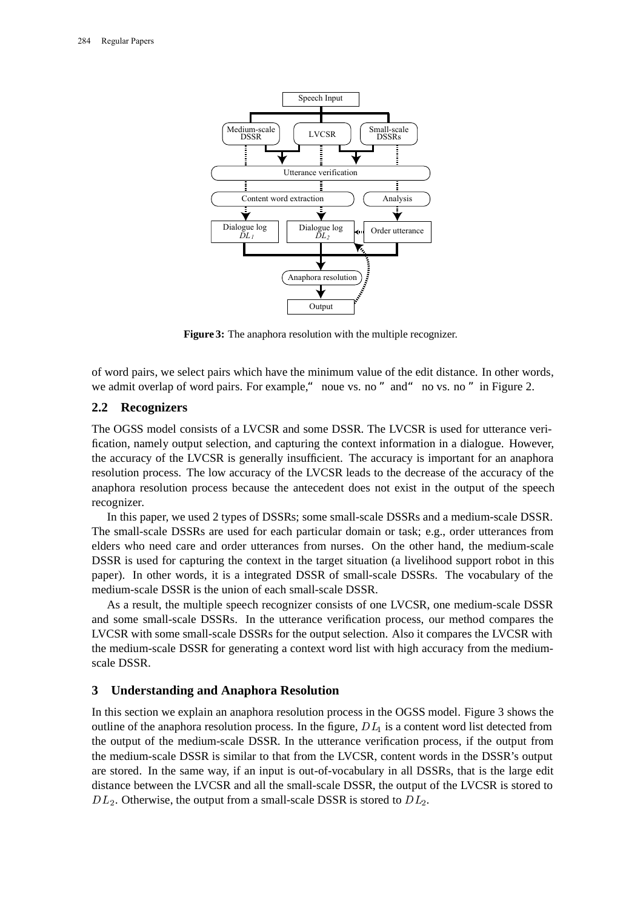

**Figure 3:** The anaphora resolution with the multiple recognizer.

of word pairs, we select pairs which have the minimum value of the edit distance. In other words, we admit overlap of word pairs. For example, "noue vs. no " and " no vs. no " in Figure 2.

# **2.2 Recognizers**

The OGSS model consists of a LVCSR and some DSSR. The LVCSR is used for utterance verification, namely output selection, and capturing the context information in a dialogue. However, the accuracy of the LVCSR is generally insufficient. The accuracy is important for an anaphora resolution process. The low accuracy of the LVCSR leads to the decrease of the accuracy of the anaphora resolution process because the antecedent does not exist in the output of the speech recognizer.

In this paper, we used 2 types of DSSRs; some small-scale DSSRs and a medium-scale DSSR. The small-scale DSSRs are used for each particular domain or task; e.g., order utterances from elders who need care and order utterances from nurses. On the other hand, the medium-scale DSSR is used for capturing the context in the target situation (a livelihood support robot in this paper). In other words, it is a integrated DSSR of small-scale DSSRs. The vocabulary of the medium-scale DSSR is the union of each small-scale DSSR.

As a result, the multiple speech recognizer consists of one LVCSR, one medium-scale DSSR and some small-scale DSSRs. In the utterance verification process, our method compares the LVCSR with some small-scale DSSRs for the output selection. Also it compares the LVCSR with the medium-scale DSSR for generating a context word list with high accuracy from the mediumscale DSSR.

# **3 Understanding and Anaphora Resolution**

In this section we explain an anaphora resolution process in the OGSS model. Figure 3 shows the outline of the anaphora resolution process. In the figure,  $DL_1$  is a content word list detected from the output of the medium-scale DSSR. In the utterance verification process, if the output from the medium-scale DSSR is similar to that from the LVCSR, content words in the DSSR's output are stored. In the same way, if an input is out-of-vocabulary in all DSSRs, that is the large edit distance between the LVCSR and all the small-scale DSSR, the output of the LVCSR is stored to  $DL_2$ . Otherwise, the output from a small-scale DSSR is stored to  $DL_2$ .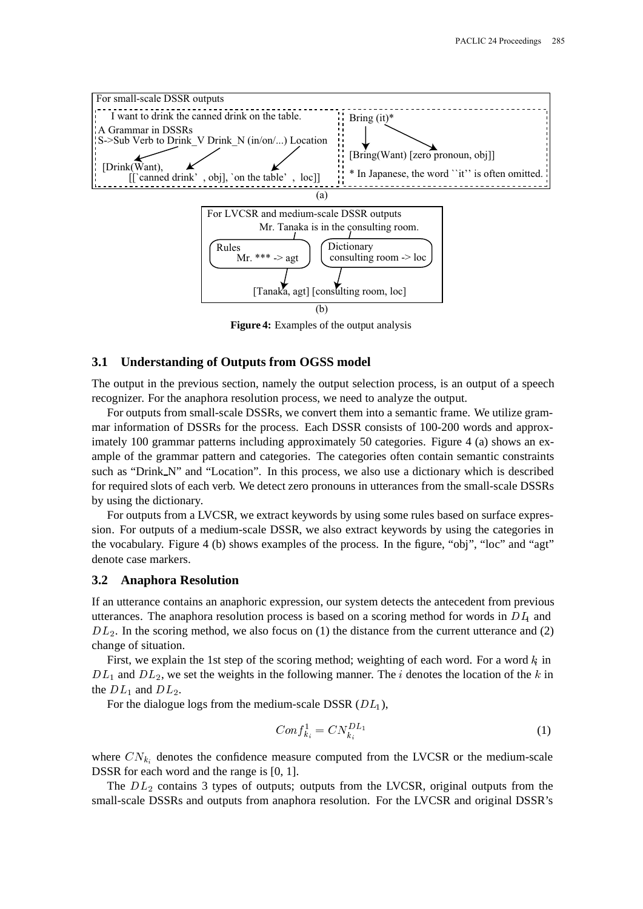

**Figure 4:** Examples of the output analysis

#### **3.1 Understanding of Outputs from OGSS model**

The output in the previous section, namely the output selection process, is an output of a speech recognizer. For the anaphora resolution process, we need to analyze the output.

For outputs from small-scale DSSRs, we convert them into a semantic frame. We utilize grammar information of DSSRs for the process. Each DSSR consists of 100-200 words and approximately 100 grammar patterns including approximately 50 categories. Figure 4 (a) shows an example of the grammar pattern and categories. The categories often contain semantic constraints such as "Drink\_N" and "Location". In this process, we also use a dictionary which is described for required slots of each verb. We detect zero pronouns in utterances from the small-scale DSSRs by using the dictionary.

For outputs from a LVCSR, we extract keywords by using some rules based on surface expression. For outputs of a medium-scale DSSR, we also extract keywords by using the categories in the vocabulary. Figure 4 (b) shows examples of the process. In the figure, "obj", "loc" and "agt" denote case markers.

#### **3.2 Anaphora Resolution**

If an utterance contains an anaphoric expression, our system detects the antecedent from previous utterances. The anaphora resolution process is based on a scoring method for words in  $DI<sub>1</sub>$  and  $DL<sub>2</sub>$ . In the scoring method, we also focus on (1) the distance from the current utterance and (2) change of situation.

First, we explain the 1st step of the scoring method; weighting of each word. For a word  $k_i$  in  $DL_1$  and  $DL_2$ , we set the weights in the following manner. The *i* denotes the location of the *k* in the  $DL_1$  and  $DL_2$ .

For the dialogue logs from the medium-scale DSSR  $(DL_1)$ ,

$$
Conf_{k_i}^1 = CN_{k_i}^{DL_1} \tag{1}
$$

where  $CN_{k_i}$  denotes the confidence measure computed from the LVCSR or the medium-scale DSSR for each word and the range is [0, 1].

 -

 -

The  $DL_2$  contains 3 types of outputs; outputs from the LVCSR, original outputs from the small-scale DSSRs and outputs from anaphora resolution. For the LVCSR and original DSSR's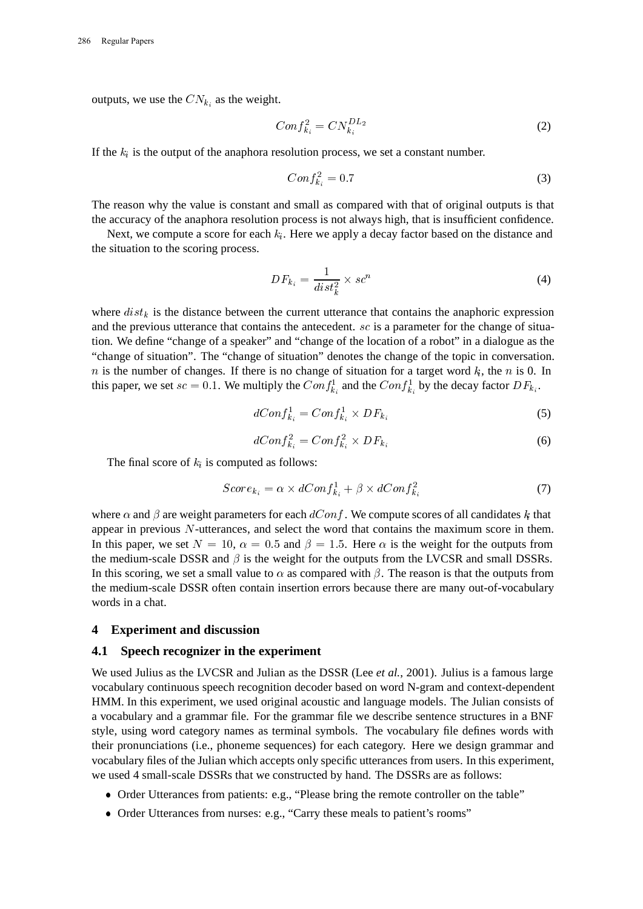outputs, we use the  $CN_{k_i}$  as the weight.

$$
Conf_{k_i}^2 = CN_{k_i}^{DL_2}
$$
 (2)

If the  $k_i$  is the output of the anaphora resolution process, we set a constant number.

 -

 -

$$
Conf_{k_i}^2 = 0.7\tag{3}
$$

The reason why the value is constant and small as compared with that of original outputs is that the accuracy of the anaphora resolution process is not always high, that is insufficient confidence.

 -

Next, we compute a score for each  $k_i$ . Here we apply a decay factor based on the distance and the situation to the scoring process.

$$
DF_{k_i} = \frac{1}{dist_k^2} \times sc^n \tag{4}
$$

where  $dist_k$  is the distance between the current utterance that contains the anaphoric expression and the previous utterance that contains the antecedent.  $\mathscr{se}$  is a parameter for the change of situation. We define "change of a speaker" and "change of the location of a robot" in a dialogue as the "change of situation". The "change of situation" denotes the change of the topic in conversation. n is the number of changes. If there is no change of situation for a target word  $k$ , the  $n$  is 0. In this paper, we set  $sc = 0.1$ . We multiply the  $Conf_{k_i}^1$  and the  $Conf_{k_i}^1$  by the decay factor  $DF_{k_i}$ .

$$
dConf_{k_i}^1 = Conf_{k_i}^1 \times DF_{k_i}
$$
\n<sup>(5)</sup>

$$
dConf_{k_i}^2 = Conf_{k_i}^2 \times DF_{k_i}
$$
\n(6)

The final score of  $k_i$  is computed as follows:

$$
Score_{k_i} = \alpha \times dConf_{k_i}^1 + \beta \times dConf_{k_i}^2 \tag{7}
$$

where  $\alpha$  and  $\beta$  are weight parameters for each  $dConf$ . We compute scores of all candidates  $k_i$  that appear in previous  $N$ -utterances, and select the word that contains the maximum score in them. In this paper, we set  $N = 10$ ,  $\alpha = 0.5$  and  $\beta = 1.5$ . Here  $\alpha$  is the weight for the outputs from the medium-scale DSSR and  $\beta$  is the weight for the outputs from the LVCSR and small DSSRs. In this scoring, we set a small value to  $\alpha$  as compared with  $\beta$ . The reason is that the outputs from the medium-scale DSSR often contain insertion errors because there are many out-of-vocabulary words in a chat.

# **4 Experiment and discussion**

# **4.1 Speech recognizer in the experiment**

We used Julius as the LVCSR and Julian as the DSSR (Lee *et al.*, 2001). Julius is a famous large vocabulary continuous speech recognition decoder based on word N-gram and context-dependent HMM. In this experiment, we used original acoustic and language models. The Julian consists of a vocabulary and a grammar file. For the grammar file we describe sentence structures in a BNF style, using word category names as terminal symbols. The vocabulary file defines words with their pronunciations (i.e., phoneme sequences) for each category. Here we design grammar and vocabulary files of the Julian which accepts only specific utterances from users. In this experiment, we used 4 small-scale DSSRs that we constructed by hand. The DSSRs are as follows:

- Order Utterances from patients: e.g., "Please bring the remote controller on the table"
- Order Utterances from nurses: e.g., "Carry these meals to patient's rooms"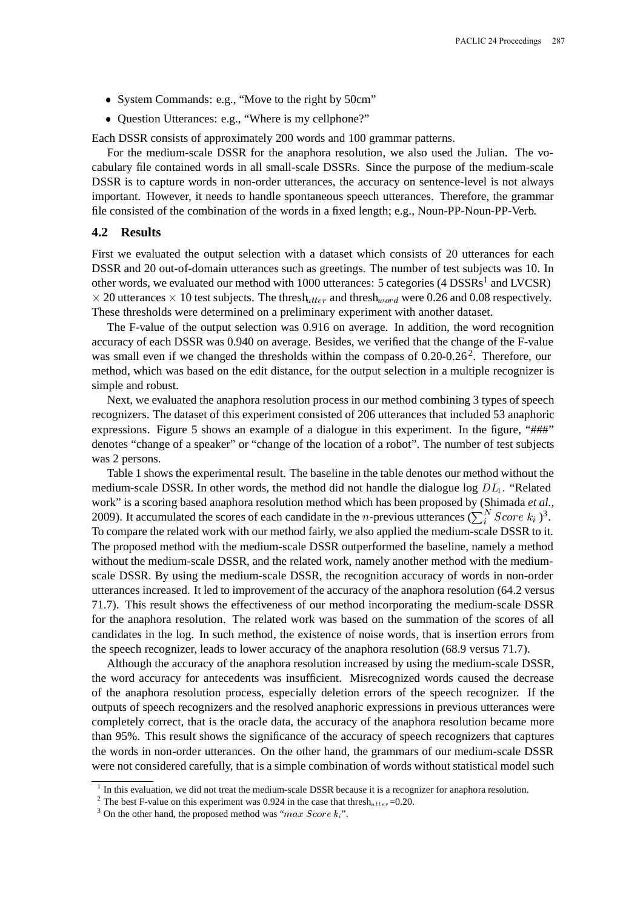- System Commands: e.g., "Move to the right by 50cm"
- Question Utterances: e.g., "Where is my cellphone?"

Each DSSR consists of approximately 200 words and 100 grammar patterns.

For the medium-scale DSSR for the anaphora resolution, we also used the Julian. The vocabulary file contained words in all small-scale DSSRs. Since the purpose of the medium-scale DSSR is to capture words in non-order utterances, the accuracy on sentence-level is not always important. However, it needs to handle spontaneous speech utterances. Therefore, the grammar file consisted of the combination of the words in a fixed length; e.g., Noun-PP-Noun-PP-Verb.

## **4.2 Results**

First we evaluated the output selection with a dataset which consists of 20 utterances for each DSSR and 20 out-of-domain utterances such as greetings. The number of test subjects was 10. In other words, we evaluated our method with  $1000$  utterances: 5 categories (4 DSSRs<sup>1</sup> and LVCSR)  $\times$  20 utterances  $\times$  10 test subjects. The thresh<sub>utter</sub> and thresh<sub>word</sub> were 0.26 and 0.08 respectively. These thresholds were determined on a preliminary experiment with another dataset.

The F-value of the output selection was 0.916 on average. In addition, the word recognition accuracy of each DSSR was 0.940 on average. Besides, we verified that the change of the F-value was small even if we changed the thresholds within the compass of  $0.20$ - $0.26<sup>2</sup>$ . Therefore, our method, which was based on the edit distance, for the output selection in a multiple recognizer is simple and robust.

Next, we evaluated the anaphora resolution process in our method combining 3 types of speech recognizers. The dataset of this experiment consisted of 206 utterances that included 53 anaphoric expressions. Figure 5 shows an example of a dialogue in this experiment. In the figure, "###" denotes "change of a speaker" or "change of the location of a robot". The number of test subjects was 2 persons.

Table 1 shows the experimental result. The baseline in the table denotes our method without the medium-scale DSSR. In other words, the method did not handle the dialogue log  $DL_1$ . "Related work" is a scoring based anaphora resolution method which has been proposed by (Shimada *et al.*, 2009). It accumulated the scores of each candidate in the *n*-previous utterances ( $\sum_{i}^{N} Score k_i$ )<sup>3</sup>. To compare the related work with our method fairly, we also applied the medium-scale DSSR to it. The proposed method with the medium-scale DSSR outperformed the baseline, namely a method without the medium-scale DSSR, and the related work, namely another method with the mediumscale DSSR. By using the medium-scale DSSR, the recognition accuracy of words in non-order utterances increased. It led to improvement of the accuracy of the anaphora resolution (64.2 versus 71.7). This result shows the effectiveness of our method incorporating the medium-scale DSSR for the anaphora resolution. The related work was based on the summation of the scores of all candidates in the log. In such method, the existence of noise words, that is insertion errors from the speech recognizer, leads to lower accuracy of the anaphora resolution (68.9 versus 71.7).

Although the accuracy of the anaphora resolution increased by using the medium-scale DSSR, the word accuracy for antecedents was insufficient. Misrecognized words caused the decrease of the anaphora resolution process, especially deletion errors of the speech recognizer. If the outputs of speech recognizers and the resolved anaphoric expressions in previous utterances were completely correct, that is the oracle data, the accuracy of the anaphora resolution became more than 95%. This result shows the significance of the accuracy of speech recognizers that captures the words in non-order utterances. On the other hand, the grammars of our medium-scale DSSR were not considered carefully, that is a simple combination of words without statistical model such

<sup>&</sup>lt;sup>1</sup> In this evaluation, we did not treat the medium-scale DSSR because it is a recognizer for anaphora resolution.

<sup>&</sup>lt;sup>2</sup> The best F-value on this experiment was 0.924 in the case that thresh $_{utter}$ =0.20.

<sup>&</sup>lt;sup>3</sup> On the other hand, the proposed method was " $max$  Score  $k_i$ ".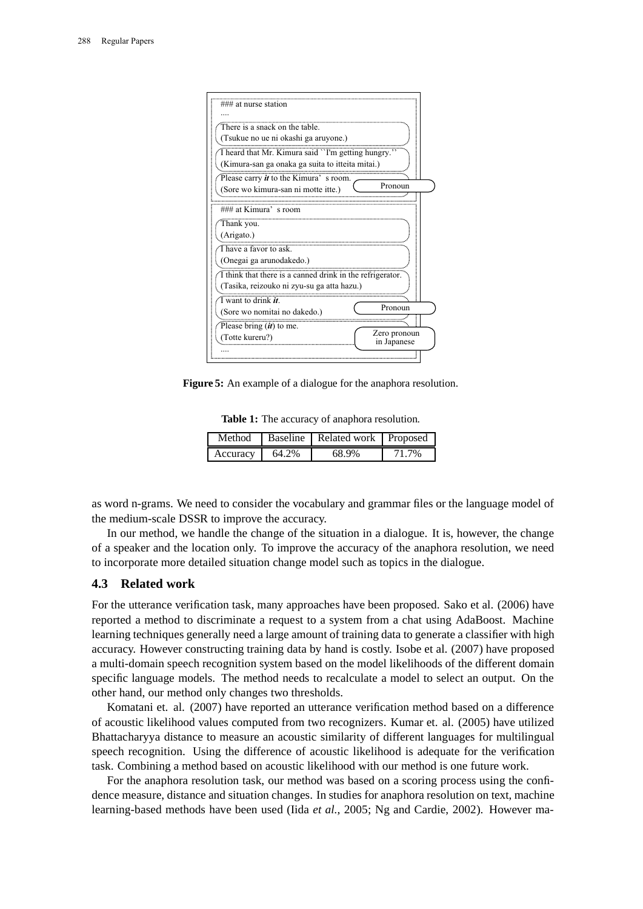

**Figure 5:** An example of a dialogue for the anaphora resolution.

**Table 1:** The accuracy of anaphora resolution.

|          |       | Method Baseline Related work   Proposed |       |
|----------|-------|-----------------------------------------|-------|
| Accuracy | 64.2% | 68.9%                                   | 71.7% |

as word n-grams. We need to consider the vocabulary and grammar files or the language model of the medium-scale DSSR to improve the accuracy.

In our method, we handle the change of the situation in a dialogue. It is, however, the change of a speaker and the location only. To improve the accuracy of the anaphora resolution, we need to incorporate more detailed situation change model such as topics in the dialogue.

# **4.3 Related work**

For the utterance verification task, many approaches have been proposed. Sako et al. (2006) have reported a method to discriminate a request to a system from a chat using AdaBoost. Machine learning techniques generally need a large amount of training data to generate a classifier with high accuracy. However constructing training data by hand is costly. Isobe et al. (2007) have proposed a multi-domain speech recognition system based on the model likelihoods of the different domain specific language models. The method needs to recalculate a model to select an output. On the other hand, our method only changes two thresholds.

Komatani et. al. (2007) have reported an utterance verification method based on a difference of acoustic likelihood values computed from two recognizers. Kumar et. al. (2005) have utilized Bhattacharyya distance to measure an acoustic similarity of different languages for multilingual speech recognition. Using the difference of acoustic likelihood is adequate for the verification task. Combining a method based on acoustic likelihood with our method is one future work.

For the anaphora resolution task, our method was based on a scoring process using the confidence measure, distance and situation changes. In studies for anaphora resolution on text, machine learning-based methods have been used (Iida *et al.*, 2005; Ng and Cardie, 2002). However ma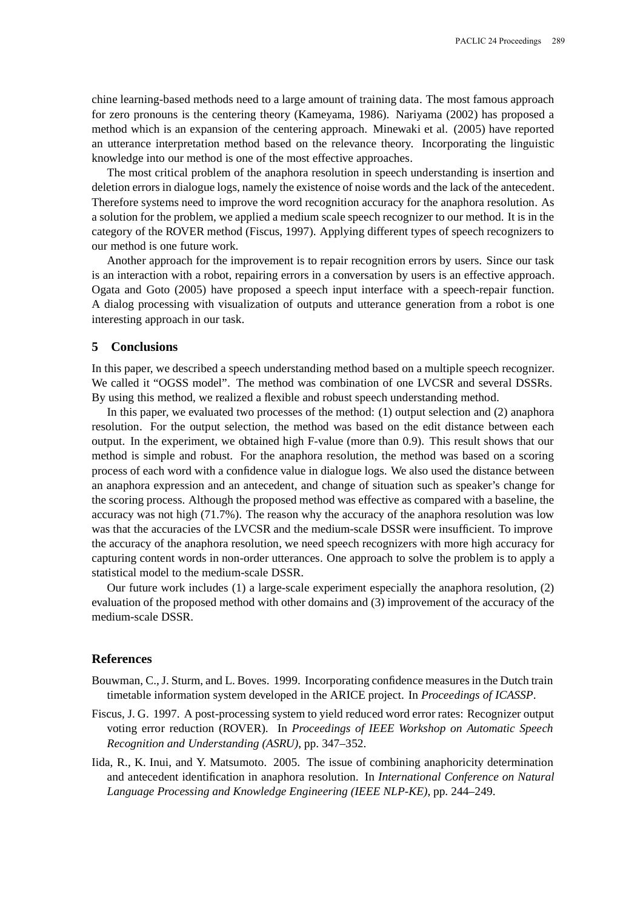chine learning-based methods need to a large amount of training data. The most famous approach for zero pronouns is the centering theory (Kameyama, 1986). Nariyama (2002) has proposed a method which is an expansion of the centering approach. Minewaki et al. (2005) have reported an utterance interpretation method based on the relevance theory. Incorporating the linguistic knowledge into our method is one of the most effective approaches.

The most critical problem of the anaphora resolution in speech understanding is insertion and deletion errors in dialogue logs, namely the existence of noise words and the lack of the antecedent. Therefore systems need to improve the word recognition accuracy for the anaphora resolution. As a solution for the problem, we applied a medium scale speech recognizer to our method. It is in the category of the ROVER method (Fiscus, 1997). Applying different types of speech recognizers to our method is one future work.

Another approach for the improvement is to repair recognition errors by users. Since our task is an interaction with a robot, repairing errors in a conversation by users is an effective approach. Ogata and Goto (2005) have proposed a speech input interface with a speech-repair function. A dialog processing with visualization of outputs and utterance generation from a robot is one interesting approach in our task.

# **5 Conclusions**

In this paper, we described a speech understanding method based on a multiple speech recognizer. We called it "OGSS model". The method was combination of one LVCSR and several DSSRs. By using this method, we realized a flexible and robust speech understanding method.

In this paper, we evaluated two processes of the method: (1) output selection and (2) anaphora resolution. For the output selection, the method was based on the edit distance between each output. In the experiment, we obtained high F-value (more than 0.9). This result shows that our method is simple and robust. For the anaphora resolution, the method was based on a scoring process of each word with a confidence value in dialogue logs. We also used the distance between an anaphora expression and an antecedent, and change of situation such as speaker's change for the scoring process. Although the proposed method was effective as compared with a baseline, the accuracy was not high (71.7%). The reason why the accuracy of the anaphora resolution was low was that the accuracies of the LVCSR and the medium-scale DSSR were insufficient. To improve the accuracy of the anaphora resolution, we need speech recognizers with more high accuracy for capturing content words in non-order utterances. One approach to solve the problem is to apply a statistical model to the medium-scale DSSR.

Our future work includes (1) a large-scale experiment especially the anaphora resolution, (2) evaluation of the proposed method with other domains and (3) improvement of the accuracy of the medium-scale DSSR.

# **References**

- Bouwman, C., J. Sturm, and L. Boves. 1999. Incorporating confidence measures in the Dutch train timetable information system developed in the ARICE project. In *Proceedings of ICASSP*.
- Fiscus, J. G. 1997. A post-processing system to yield reduced word error rates: Recognizer output voting error reduction (ROVER). In *Proceedings of IEEE Workshop on Automatic Speech Recognition and Understanding (ASRU)*, pp. 347–352.
- Iida, R., K. Inui, and Y. Matsumoto. 2005. The issue of combining anaphoricity determination and antecedent identification in anaphora resolution. In *International Conference on Natural Language Processing and Knowledge Engineering (IEEE NLP-KE)*, pp. 244–249.